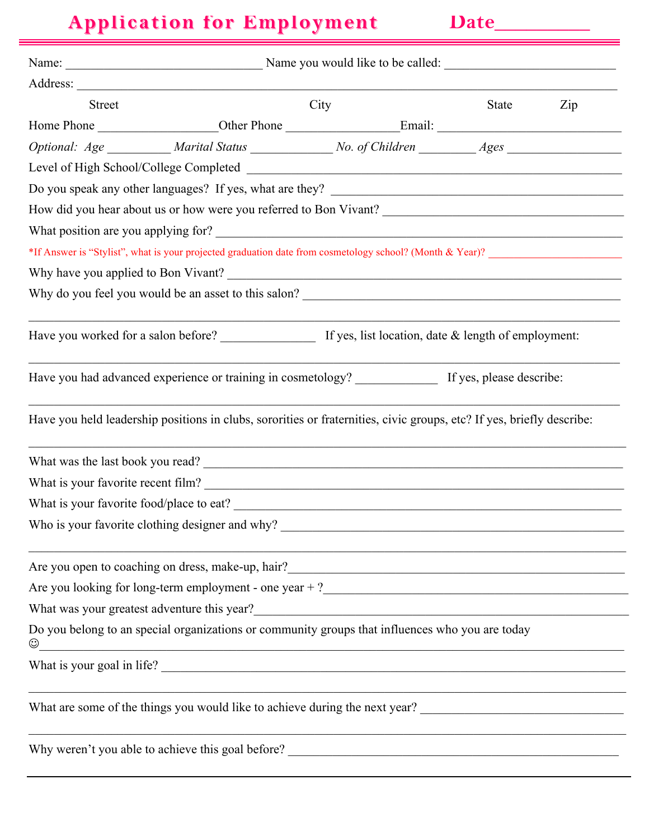# **Application for Employment Application for Employment Date\_\_\_\_\_\_\_\_\_**

| <b>Street</b> |                                                                                                                                                            | City                                                                                                                | State | Zip |
|---------------|------------------------------------------------------------------------------------------------------------------------------------------------------------|---------------------------------------------------------------------------------------------------------------------|-------|-----|
|               |                                                                                                                                                            |                                                                                                                     |       |     |
|               | Optional: Age __________ Marital Status ______________ No. of Children _________ Ages _____________                                                        |                                                                                                                     |       |     |
|               |                                                                                                                                                            |                                                                                                                     |       |     |
|               |                                                                                                                                                            |                                                                                                                     |       |     |
|               | How did you hear about us or how were you referred to Bon Vivant?                                                                                          |                                                                                                                     |       |     |
|               |                                                                                                                                                            |                                                                                                                     |       |     |
|               | *If Answer is "Stylist", what is your projected graduation date from cosmetology school? (Month & Year)?                                                   |                                                                                                                     |       |     |
|               |                                                                                                                                                            |                                                                                                                     |       |     |
|               |                                                                                                                                                            |                                                                                                                     |       |     |
|               |                                                                                                                                                            |                                                                                                                     |       |     |
|               | Have you had advanced experience or training in cosmetology? __________________ If yes, please describe:                                                   |                                                                                                                     |       |     |
|               | Have you held leadership positions in clubs, sororities or fraternities, civic groups, etc? If yes, briefly describe:                                      |                                                                                                                     |       |     |
|               | What was the last book you read?                                                                                                                           |                                                                                                                     |       |     |
|               | What is your favorite recent film?                                                                                                                         |                                                                                                                     |       |     |
|               |                                                                                                                                                            |                                                                                                                     |       |     |
|               | Who is your favorite clothing designer and why?                                                                                                            |                                                                                                                     |       |     |
|               | Are you open to coaching on dress, make-up, hair?                                                                                                          | <u> 1989 - Johann Barbara, martxa amerikan basar dan basa dan basa dan basa dan basa dan basa dan basa dan basa</u> |       |     |
|               | Are you looking for long-term employment - one year $+ ?$                                                                                                  |                                                                                                                     |       |     |
|               |                                                                                                                                                            |                                                                                                                     |       |     |
| $\odot$       | Do you belong to an special organizations or community groups that influences who you are today<br><u> 1989 - Johann Barnett, fransk politik (f. 1989)</u> |                                                                                                                     |       |     |
|               | What is your goal in life?                                                                                                                                 |                                                                                                                     |       |     |
|               |                                                                                                                                                            |                                                                                                                     |       |     |
|               |                                                                                                                                                            |                                                                                                                     |       |     |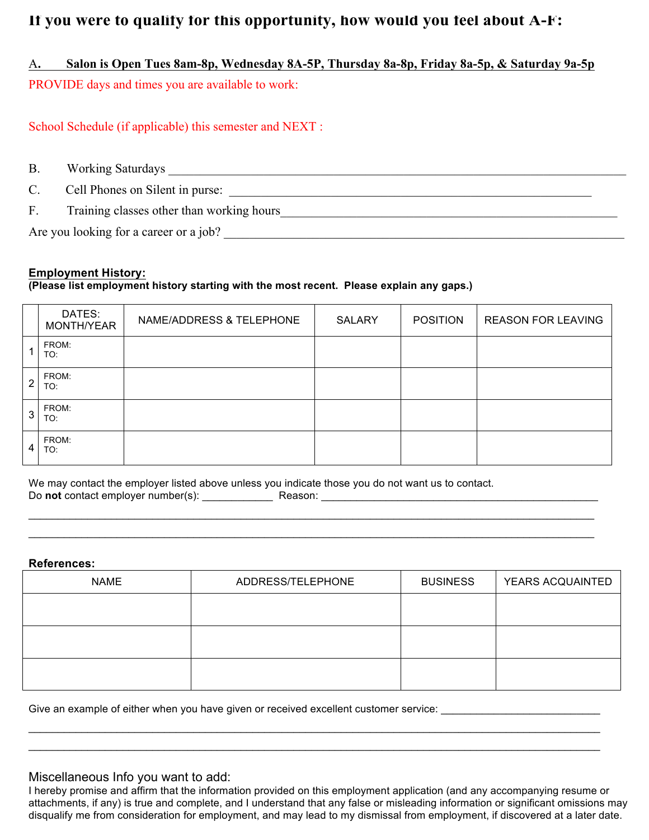# **If you were to qualify for this opportunity, how would you feel about A-F:**

A**. Salon is Open Tues 8am-8p, Wednesday 8A-5P, Thursday 8a-8p, Friday 8a-5p, & Saturday 9a-5p** PROVIDE days and times you are available to work:

School Schedule (if applicable) this semester and NEXT :

B. Working Saturdays \_\_\_\_\_\_\_\_\_\_\_\_\_\_\_\_\_\_\_\_\_\_\_\_\_\_\_\_\_\_\_\_\_\_\_\_\_\_\_\_\_\_\_\_\_\_\_\_\_\_\_\_\_\_\_\_\_\_\_\_\_\_\_\_\_\_\_\_\_\_\_\_

C. Cell Phones on Silent in purse:

F. Training classes other than working hours Training classes of the than working hours

Are you looking for a career or a job? \_\_\_\_\_\_\_\_\_\_\_\_\_\_\_\_\_\_\_\_\_\_\_\_\_\_\_\_\_\_\_\_\_\_\_\_\_\_\_\_\_\_\_\_\_\_\_\_\_\_\_\_\_\_\_\_\_\_\_\_\_\_\_

## **Employment History:**

#### **(Please list employment history starting with the most recent. Please explain any gaps.)**

|   | DATES:<br>MONTH/YEAR | NAME/ADDRESS & TELEPHONE | <b>SALARY</b> | <b>POSITION</b> | <b>REASON FOR LEAVING</b> |
|---|----------------------|--------------------------|---------------|-----------------|---------------------------|
|   | FROM:<br>TO:         |                          |               |                 |                           |
| 2 | FROM:<br>TO:         |                          |               |                 |                           |
| 3 | FROM:<br>TO:         |                          |               |                 |                           |
| 4 | FROM:<br>TO:         |                          |               |                 |                           |

We may contact the employer listed above unless you indicate those you do not want us to contact. Do **not** contact employer number(s): \_\_\_\_\_\_\_\_\_\_\_\_ Reason: \_\_\_\_\_\_\_\_\_\_\_\_\_\_\_\_\_\_\_\_\_\_\_\_\_\_\_\_\_\_\_\_\_\_\_\_\_\_\_\_\_\_\_\_\_\_\_

#### **References:**

| <b>NAME</b> | ADDRESS/TELEPHONE | <b>BUSINESS</b> | YEARS ACQUAINTED |
|-------------|-------------------|-----------------|------------------|
|             |                   |                 |                  |
|             |                   |                 |                  |
|             |                   |                 |                  |
|             |                   |                 |                  |

 $\mathcal{L}_\mathcal{L} = \mathcal{L}_\mathcal{L} = \mathcal{L}_\mathcal{L} = \mathcal{L}_\mathcal{L} = \mathcal{L}_\mathcal{L} = \mathcal{L}_\mathcal{L} = \mathcal{L}_\mathcal{L} = \mathcal{L}_\mathcal{L} = \mathcal{L}_\mathcal{L} = \mathcal{L}_\mathcal{L} = \mathcal{L}_\mathcal{L} = \mathcal{L}_\mathcal{L} = \mathcal{L}_\mathcal{L} = \mathcal{L}_\mathcal{L} = \mathcal{L}_\mathcal{L} = \mathcal{L}_\mathcal{L} = \mathcal{L}_\mathcal{L}$  $\mathcal{L}_\mathcal{L} = \mathcal{L}_\mathcal{L} = \mathcal{L}_\mathcal{L} = \mathcal{L}_\mathcal{L} = \mathcal{L}_\mathcal{L} = \mathcal{L}_\mathcal{L} = \mathcal{L}_\mathcal{L} = \mathcal{L}_\mathcal{L} = \mathcal{L}_\mathcal{L} = \mathcal{L}_\mathcal{L} = \mathcal{L}_\mathcal{L} = \mathcal{L}_\mathcal{L} = \mathcal{L}_\mathcal{L} = \mathcal{L}_\mathcal{L} = \mathcal{L}_\mathcal{L} = \mathcal{L}_\mathcal{L} = \mathcal{L}_\mathcal{L}$ 

 $\mathcal{L}_\mathcal{L} = \mathcal{L}_\mathcal{L} = \mathcal{L}_\mathcal{L} = \mathcal{L}_\mathcal{L} = \mathcal{L}_\mathcal{L} = \mathcal{L}_\mathcal{L} = \mathcal{L}_\mathcal{L} = \mathcal{L}_\mathcal{L} = \mathcal{L}_\mathcal{L} = \mathcal{L}_\mathcal{L} = \mathcal{L}_\mathcal{L} = \mathcal{L}_\mathcal{L} = \mathcal{L}_\mathcal{L} = \mathcal{L}_\mathcal{L} = \mathcal{L}_\mathcal{L} = \mathcal{L}_\mathcal{L} = \mathcal{L}_\mathcal{L}$  $\mathcal{L}_\mathcal{L} = \mathcal{L}_\mathcal{L} = \mathcal{L}_\mathcal{L} = \mathcal{L}_\mathcal{L} = \mathcal{L}_\mathcal{L} = \mathcal{L}_\mathcal{L} = \mathcal{L}_\mathcal{L} = \mathcal{L}_\mathcal{L} = \mathcal{L}_\mathcal{L} = \mathcal{L}_\mathcal{L} = \mathcal{L}_\mathcal{L} = \mathcal{L}_\mathcal{L} = \mathcal{L}_\mathcal{L} = \mathcal{L}_\mathcal{L} = \mathcal{L}_\mathcal{L} = \mathcal{L}_\mathcal{L} = \mathcal{L}_\mathcal{L}$ 

Give an example of either when you have given or received excellent customer service: \_\_\_\_\_\_\_\_\_\_\_\_\_\_\_\_\_\_\_\_\_\_\_\_

## Miscellaneous Info you want to add:

I hereby promise and affirm that the information provided on this employment application (and any accompanying resume or attachments, if any) is true and complete, and I understand that any false or misleading information or significant omissions may disqualify me from consideration for employment, and may lead to my dismissal from employment, if discovered at a later date.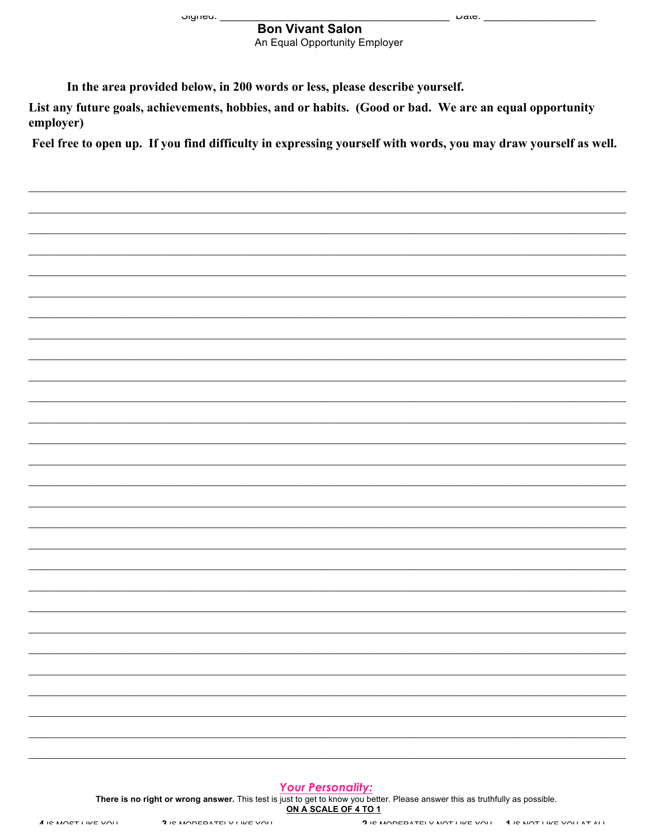Jiyilou. \_

# **Bon Vivant Salon**

An Equal Opportunity Employer

 $\omega$ aic.  $-$ 

In the area provided below, in 200 words or less, please describe yourself.

List any future goals, achievements, hobbies, and or habits. (Good or bad. We are an equal opportunity employer)

Feel free to open up. If you find difficulty in expressing yourself with words, you may draw yourself as well.

#### **Your Personality:**

There is no right or wrong answer. This test is just to get to know you better. Please answer this as truthfully as possible. ON A SCALE OF 4 TO 1